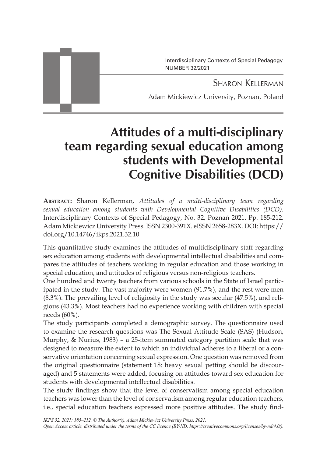Sharon Kellerman Adam Mickiewicz University, Poznan, Poland Interdisciplinary Contexts of Special Pedagogy NUMBER 32/2021

# **Attitudes of a multi-disciplinary team regarding sexual education among students with Developmental Cognitive Disabilities (DCD)**

**Abstract:** Sharon Kellerman, *Attitudes of a multi-disciplinary team regarding sexual education among students with Developmental Cognitive Disabilities (DCD)*. Interdisciplinary Contexts of Special Pedagogy, No. 32, Poznań 2021. Pp. 185-212. Adam Mickiewicz University Press. ISSN 2300-391X. eISSN 2658-283X. DOI: https:// doi.org/10.14746/ikps.2021.32.10

This quantitative study examines the attitudes of multidisciplinary staff regarding sex education among students with developmental intellectual disabilities and compares the attitudes of teachers working in regular education and those working in special education, and attitudes of religious versus non-religious teachers.

One hundred and twenty teachers from various schools in the State of Israel participated in the study. The vast majority were women (91.7%), and the rest were men (8.3%). The prevailing level of religiosity in the study was secular (47.5%), and religious (43.3%). Most teachers had no experience working with children with special needs (60%).

The study participants completed a demographic survey. The questionnaire used to examine the research questions was The Sexual Attitude Scale (SAS) (Hudson, Murphy, & Nurius, 1983) – a 25-item summated category partition scale that was designed to measure the extent to which an individual adheres to a liberal or a conservative orientation concerning sexual expression. One question was removed from the original questionnaire (statement 18: heavy sexual petting should be discouraged) and 5 statements were added, focusing on attitudes toward sex education for students with developmental intellectual disabilities.

The study findings show that the level of conservatism among special education teachers was lower than the level of conservatism among regular education teachers, i.e., special education teachers expressed more positive attitudes. The study find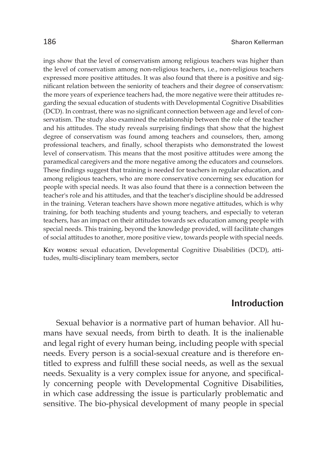ings show that the level of conservatism among religious teachers was higher than the level of conservatism among non-religious teachers, i.e., non-religious teachers expressed more positive attitudes. It was also found that there is a positive and significant relation between the seniority of teachers and their degree of conservatism: the more years of experience teachers had, the more negative were their attitudes regarding the sexual education of students with Developmental Cognitive Disabilities (DCD). In contrast, there was no significant connection between age and level of conservatism. The study also examined the relationship between the role of the teacher and his attitudes. The study reveals surprising findings that show that the highest degree of conservatism was found among teachers and counselors, then, among professional teachers, and finally, school therapists who demonstrated the lowest level of conservatism. This means that the most positive attitudes were among the paramedical caregivers and the more negative among the educators and counselors. These findings suggest that training is needed for teachers in regular education, and among religious teachers, who are more conservative concerning sex education for people with special needs. It was also found that there is a connection between the teacher's role and his attitudes, and that the teacher's discipline should be addressed in the training. Veteran teachers have shown more negative attitudes, which is why training, for both teaching students and young teachers, and especially to veteran teachers, has an impact on their attitudes towards sex education among people with special needs. This training, beyond the knowledge provided, will facilitate changes of social attitudes to another, more positive view, towards people with special needs.

**Key words:** sexual education, Developmental Cognitive Disabilities (DCD), attitudes, multi-disciplinary team members, sector

# **Introduction**

Sexual behavior is a normative part of human behavior. All humans have sexual needs, from birth to death. It is the inalienable and legal right of every human being, including people with special needs. Every person is a social-sexual creature and is therefore entitled to express and fulfill these social needs, as well as the sexual needs. Sexuality is a very complex issue for anyone, and specifically concerning people with Developmental Cognitive Disabilities, in which case addressing the issue is particularly problematic and sensitive. The bio-physical development of many people in special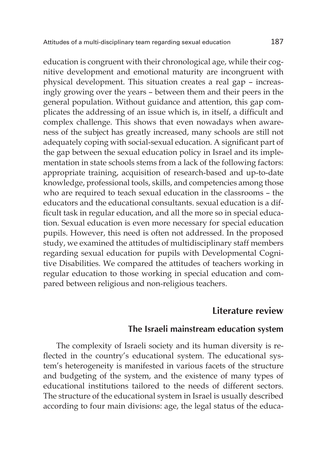education is congruent with their chronological age, while their cognitive development and emotional maturity are incongruent with physical development. This situation creates a real gap – increasingly growing over the years – between them and their peers in the general population. Without guidance and attention, this gap complicates the addressing of an issue which is, in itself, a difficult and complex challenge. This shows that even nowadays when awareness of the subject has greatly increased, many schools are still not adequately coping with social-sexual education. A significant part of the gap between the sexual education policy in Israel and its implementation in state schools stems from a lack of the following factors: appropriate training, acquisition of research-based and up-to-date knowledge, professional tools, skills, and competencies among those who are required to teach sexual education in the classrooms – the educators and the educational consultants. sexual education is a difficult task in regular education, and all the more so in special education. Sexual education is even more necessary for special education pupils. However, this need is often not addressed. In the proposed study, we examined the attitudes of multidisciplinary staff members regarding sexual education for pupils with Developmental Cognitive Disabilities. We compared the attitudes of teachers working in regular education to those working in special education and compared between religious and non-religious teachers.

## **Literature review**

## **The Israeli mainstream education system**

The complexity of Israeli society and its human diversity is reflected in the country's educational system. The educational system's heterogeneity is manifested in various facets of the structure and budgeting of the system, and the existence of many types of educational institutions tailored to the needs of different sectors. The structure of the educational system in Israel is usually described according to four main divisions: age, the legal status of the educa-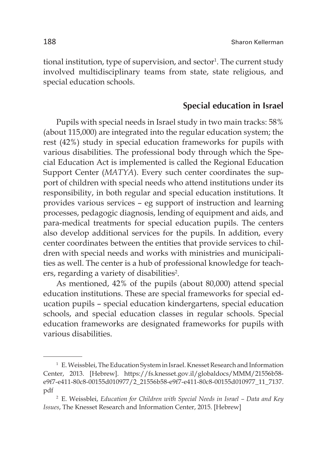tional institution, type of supervision, and sector<sup>1</sup>. The current study involved multidisciplinary teams from state, state religious, and special education schools.

## **Special education in Israel**

Pupils with special needs in Israel study in two main tracks: 58% (about 115,000) are integrated into the regular education system; the rest (42%) study in special education frameworks for pupils with various disabilities. The professional body through which the Special Education Act is implemented is called the Regional Education Support Center (*MATYA*). Every such center coordinates the support of children with special needs who attend institutions under its responsibility, in both regular and special education institutions. It provides various services – eg support of instruction and learning processes, pedagogic diagnosis, lending of equipment and aids, and para-medical treatments for special education pupils. The centers also develop additional services for the pupils. In addition, every center coordinates between the entities that provide services to children with special needs and works with ministries and municipalities as well. The center is a hub of professional knowledge for teachers, regarding a variety of disabilities<sup>2</sup>.

As mentioned, 42% of the pupils (about 80,000) attend special education institutions. These are special frameworks for special education pupils – special education kindergartens, special education schools, and special education classes in regular schools. Special education frameworks are designated frameworks for pupils with various disabilities.

<sup>1</sup> E. Weissblei, The Education System in Israel. Knesset Research and Information Center, 2013. [Hebrew]. https://fs.knesset.gov.il/globaldocs/MMM/21556b58 e9f7-e411-80c8-00155d010977/2\_21556b58-e9f7-e411-80c8-00155d010977\_11\_7137. pdf

<sup>2</sup> E. Weissblei, *Education for Children with Special Needs in Israel – Data and Key Issues*, The Knesset Research and Information Center, 2015. [Hebrew]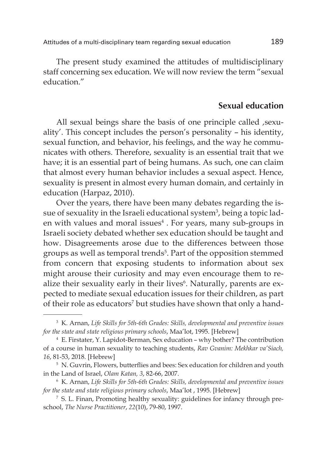The present study examined the attitudes of multidisciplinary staff concerning sex education. We will now review the term "sexual education."

## **Sexual education**

All sexual beings share the basis of one principle called , sexuality'. This concept includes the person's personality – his identity, sexual function, and behavior, his feelings, and the way he communicates with others. Therefore, sexuality is an essential trait that we have; it is an essential part of being humans. As such, one can claim that almost every human behavior includes a sexual aspect. Hence, sexuality is present in almost every human domain, and certainly in education (Harpaz, 2010).

Over the years, there have been many debates regarding the issue of sexuality in the Israeli educational system $^3$ , being a topic laden with values and moral issues<sup>4</sup> . For years, many sub-groups in Israeli society debated whether sex education should be taught and how. Disagreements arose due to the differences between those groups as well as temporal trends<sup>5</sup>. Part of the opposition stemmed from concern that exposing students to information about sex might arouse their curiosity and may even encourage them to realize their sexuality early in their lives<sup>6</sup>. Naturally, parents are expected to mediate sexual education issues for their children, as part of their role as educators<sup>7</sup> but studies have shown that only a hand-

<sup>3</sup> K. Arnan, *Life Skills for 5th-6th Grades: Skills, developmental and preventive issues for the state and state religious primary schools*, Maa'lot, 1995. [Hebrew]

<sup>4</sup> E. Firstater, Y. Lapidot-Berman, Sex education – why bother? The contribution of a course in human sexuality to teaching students, *Rav Gvanim: Mekhkar va'Siach, 16*, 81-53, 2018. [Hebrew]

<sup>&</sup>lt;sup>5</sup> N. Guvrin, Flowers, butterflies and bees: Sex education for children and youth in the Land of Israel, *Olam Katan, 3*, 82-66, 2007.

<sup>6</sup> K. Arnan, *Life Skills for 5th-6th Grades: Skills, developmental and preventive issues for the state and state religious primary schools*, Maa'lot , 1995. [Hebrew]

<sup>7</sup> S. L. Finan, Promoting healthy sexuality: guidelines for infancy through preschool, *The Nurse Practitioner*, *22*(10), 79-80, 1997.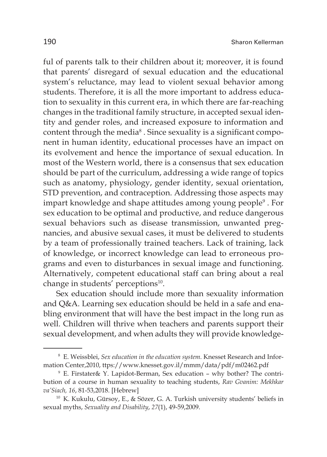ful of parents talk to their children about it; moreover, it is found that parents' disregard of sexual education and the educational system's reluctance, may lead to violent sexual behavior among students. Therefore, it is all the more important to address education to sexuality in this current era, in which there are far-reaching changes in the traditional family structure, in accepted sexual identity and gender roles, and increased exposure to information and content through the media $^{\rm 8}$  . Since sexuality is a significant component in human identity, educational processes have an impact on its evolvement and hence the importance of sexual education. In most of the Western world, there is a consensus that sex education should be part of the curriculum, addressing a wide range of topics such as anatomy, physiology, gender identity, sexual orientation, STD prevention, and contraception. Addressing those aspects may impart knowledge and shape attitudes among young people $^{\circ}$  . For sex education to be optimal and productive, and reduce dangerous sexual behaviors such as disease transmission, unwanted pregnancies, and abusive sexual cases, it must be delivered to students by a team of professionally trained teachers. Lack of training, lack of knowledge, or incorrect knowledge can lead to erroneous programs and even to disturbances in sexual image and functioning. Alternatively, competent educational staff can bring about a real change in students' perceptions<sup>10</sup>.

Sex education should include more than sexuality information and Q&A. Learning sex education should be held in a safe and enabling environment that will have the best impact in the long run as well. Children will thrive when teachers and parents support their sexual development, and when adults they will provide knowledge-

<sup>8</sup> E. Weissblei, *Sex education in the education system.* Knesset Research and Information Center,2010, ttps://www.knesset.gov.il/mmm/data/pdf/m02462.pdf

<sup>9</sup> E. Firstater& Y. Lapidot-Berman, Sex education – why bother? The contribution of a course in human sexuality to teaching students, *Rav Gvanim: Mekhkar va'Siach, 16*, 81-53,2018. [Hebrew]

<sup>10</sup> K. Kukulu, Gürsoy, E., & Sözer, G. A. Turkish university students' beliefs in sexual myths, *Sexuality and Disability*, *27*(1), 49-59,2009.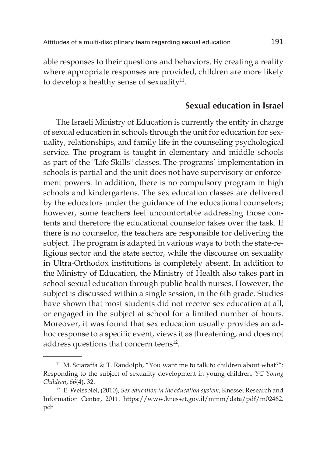able responses to their questions and behaviors. By creating a reality where appropriate responses are provided, children are more likely to develop a healthy sense of sexuality<sup>11</sup>.

## **Sexual education in Israel**

The Israeli Ministry of Education is currently the entity in charge of sexual education in schools through the unit for education for sexuality, relationships, and family life in the counseling psychological service. The program is taught in elementary and middle schools as part of the "Life Skills" classes. The programs' implementation in schools is partial and the unit does not have supervisory or enforcement powers. In addition, there is no compulsory program in high schools and kindergartens. The sex education classes are delivered by the educators under the guidance of the educational counselors; however, some teachers feel uncomfortable addressing those contents and therefore the educational counselor takes over the task. If there is no counselor, the teachers are responsible for delivering the subject. The program is adapted in various ways to both the state-religious sector and the state sector, while the discourse on sexuality in Ultra-Orthodox institutions is completely absent. In addition to the Ministry of Education, the Ministry of Health also takes part in school sexual education through public health nurses. However, the subject is discussed within a single session, in the 6th grade. Studies have shown that most students did not receive sex education at all, or engaged in the subject at school for a limited number of hours. Moreover, it was found that sex education usually provides an adhoc response to a specific event, views it as threatening, and does not address questions that concern teens<sup>12</sup>.

<sup>&</sup>lt;sup>11</sup> M. Sciaraffa & T. Randolph, "You want me to talk to children about what?": Responding to the subject of sexuality development in young children, *YC Young Children*, *66*(4), 32.

<sup>12</sup> E. Weissblei, (2010), *Sex education in the education system,* Knesset Research and Information Center, 2011. https://www.knesset.gov.il/mmm/data/pdf/m02462. pdf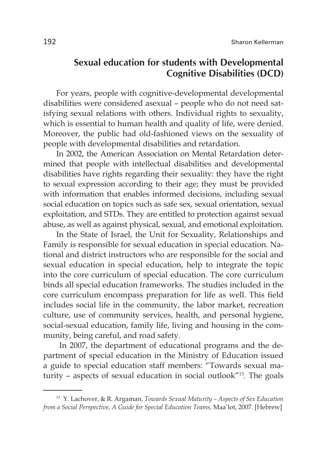# **Sexual education for students with Developmental Cognitive Disabilities (DCD)**

For years, people with cognitive-developmental developmental disabilities were considered asexual – people who do not need satisfying sexual relations with others. Individual rights to sexuality, which is essential to human health and quality of life, were denied. Moreover, the public had old-fashioned views on the sexuality of people with developmental disabilities and retardation.

In 2002, the American Association on Mental Retardation determined that people with intellectual disabilities and developmental disabilities have rights regarding their sexuality: they have the right to sexual expression according to their age; they must be provided with information that enables informed decisions, including sexual social education on topics such as safe sex, sexual orientation, sexual exploitation, and STDs. They are entitled to protection against sexual abuse, as well as against physical, sexual, and emotional exploitation.

In the State of Israel, the Unit for Sexuality, Relationships and Family is responsible for sexual education in special education. National and district instructors who are responsible for the social and sexual education in special education, help to integrate the topic into the core curriculum of special education. The core curriculum binds all special education frameworks. The studies included in the core curriculum encompass preparation for life as well. This field includes social life in the community, the labor market, recreation culture, use of community services, health, and personal hygiene, social-sexual education, family life, living and housing in the community, being careful, and road safety.

 In 2007, the department of educational programs and the department of special education in the Ministry of Education issued a guide to special education staff members: "Towards sexual maturity – aspects of sexual education in social outlook"13. The goals

<sup>13</sup> Y. Lachover, & R. Argaman, *Towards Sexual Maturity – Aspects of Sex Education from a Social Perspective, A Guide for Special Education Teams*, Maa'lot, 2007. [Hebrew]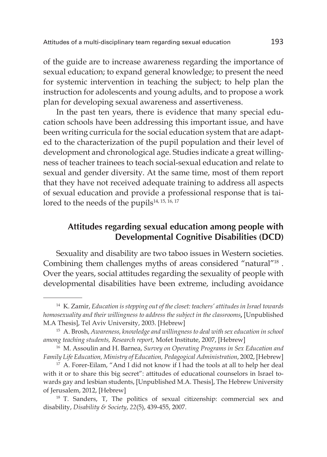of the guide are to increase awareness regarding the importance of sexual education; to expand general knowledge; to present the need for systemic intervention in teaching the subject; to help plan the instruction for adolescents and young adults, and to propose a work plan for developing sexual awareness and assertiveness.

In the past ten years, there is evidence that many special education schools have been addressing this important issue, and have been writing curricula for the social education system that are adapted to the characterization of the pupil population and their level of development and chronological age. Studies indicate a great willingness of teacher trainees to teach social-sexual education and relate to sexual and gender diversity. At the same time, most of them report that they have not received adequate training to address all aspects of sexual education and provide a professional response that is tailored to the needs of the pupils<sup>14, 15, 16, 17</sup>

# **Attitudes regarding sexual education among people with Developmental Cognitive Disabilities (DCD)**

Sexuality and disability are two taboo issues in Western societies. Combining them challenges myths of areas considered "natural"18 . Over the years, social attitudes regarding the sexuality of people with developmental disabilities have been extreme, including avoidance

<sup>14</sup> K. Zamir, *Education is stepping out of the closet: teachers' attitudes in Israel towards homosexuality and their willingness to address the subject in the classrooms***,** [Unpublished M.A Thesis], Tel Aviv University, 2003. [Hebrew]

<sup>15</sup> A. Brosh, *Awareness, knowledge and willingness to deal with sex education in school among teaching students, Research report*, Mofet Institute, 2007, [Hebrew]

<sup>16</sup> M. Assoulin and H. Barnea, *Survey on Operating Programs in Sex Education and Family Life Education, Ministry of Education, Pedagogical Administration*, 2002, [Hebrew]

<sup>&</sup>lt;sup>17</sup> A. Forer-Eilam, "And I did not know if I had the tools at all to help her deal with it or to share this big secret": attitudes of educational counselors in Israel towards gay and lesbian students, [Unpublished M.A. Thesis], The Hebrew University of Jerusalem, 2012, [Hebrew]

<sup>&</sup>lt;sup>18</sup> T. Sanders, T, The politics of sexual citizenship: commercial sex and disability, *Disability & Society*, *22*(5), 439-455, 2007.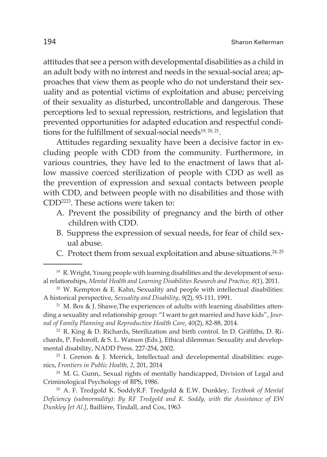attitudes that see a person with developmental disabilities as a child in an adult body with no interest and needs in the sexual-social area; approaches that view them as people who do not understand their sexuality and as potential victims of exploitation and abuse; perceiving of their sexuality as disturbed, uncontrollable and dangerous. These perceptions led to sexual repression, restrictions, and legislation that prevented opportunities for adapted education and respectful conditions for the fulfillment of sexual-social needs $19, 20, 21$ .

Attitudes regarding sexuality have been a decisive factor in excluding people with CDD from the community. Furthermore, in various countries, they have led to the enactment of laws that allow massive coerced sterilization of people with CDD as well as the prevention of expression and sexual contacts between people with CDD, and between people with no disabilities and those with CDD2223. These actions were taken to:

- A. Prevent the possibility of pregnancy and the birth of other children with CDD.
- B. Suppress the expression of sexual needs, for fear of child sexual abuse.
- C. Protect them from sexual exploitation and abuse situations. $24,25$

<sup>&</sup>lt;sup>19</sup> R. Wright, Young people with learning disabilities and the development of sexual relationships, *Mental Health and Learning Disabilities Research and Practice, 8*(1), 2011.

 $20$  W. Kempton & E. Kahn, Sexuality and people with intellectual disabilities: A historical perspective, *Sexuality and Disability*, *9*(2), 93-111, 1991.

<sup>&</sup>lt;sup>21</sup> M. Box & J. Shawe, The experiences of adults with learning disabilities attending a sexuality and relationship group: "I want to get married and have kids", *Journal of Family Planning and Reproductive Health Care*, *40*(2), 82-88, 2014.

<sup>22</sup> R. King & D. Richards, Sterilization and birth control. In D. Griffiths, D. Richards, P. Fedoroff, & S. L. Watson (Eds.), Ethical dilemmas: Sexuality and developmental disability, NADD Press. 227-254, 2002.

<sup>&</sup>lt;sup>23</sup> I. Grenon & J. Merrick, Intellectual and developmental disabilities: eugenics, *Frontiers in Public Health*, *2*, 201, 2014

<sup>&</sup>lt;sup>24</sup> M. G. Gunn,. Sexual rights of mentally handicapped, Division of Legal and Criminological Psychology of BPS, 1986.

<sup>25</sup> A. F. Tredgold K. SoddyR.F. Tredgold & E.W. Dunkley, *Textbook of Mental Deficiency (subnormality): By RF Tredgold and K. Soddy, with the Assistance of EW Dunkley [et Al.]*, Baillière, Tindall, and Cox, 1963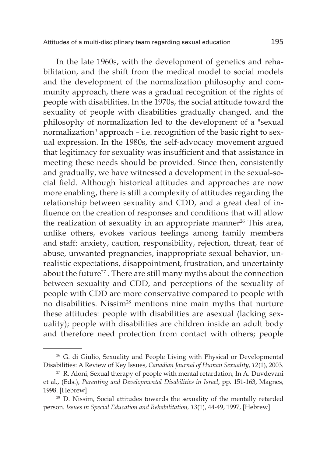In the late 1960s, with the development of genetics and rehabilitation, and the shift from the medical model to social models and the development of the normalization philosophy and community approach, there was a gradual recognition of the rights of people with disabilities. In the 1970s, the social attitude toward the sexuality of people with disabilities gradually changed, and the philosophy of normalization led to the development of a "sexual normalization" approach – i.e. recognition of the basic right to sexual expression. In the 1980s, the self-advocacy movement argued that legitimacy for sexuality was insufficient and that assistance in meeting these needs should be provided. Since then, consistently and gradually, we have witnessed a development in the sexual-social field. Although historical attitudes and approaches are now more enabling, there is still a complexity of attitudes regarding the relationship between sexuality and CDD, and a great deal of influence on the creation of responses and conditions that will allow the realization of sexuality in an appropriate manner $26$  This area, unlike others, evokes various feelings among family members and staff: anxiety, caution, responsibility, rejection, threat, fear of abuse, unwanted pregnancies, inappropriate sexual behavior, unrealistic expectations, disappointment, frustration, and uncertainty about the future<sup>27</sup>. There are still many myths about the connection between sexuality and CDD, and perceptions of the sexuality of people with CDD are more conservative compared to people with no disabilities. Nissim28 mentions nine main myths that nurture these attitudes: people with disabilities are asexual (lacking sexuality); people with disabilities are children inside an adult body and therefore need protection from contact with others; people

<sup>&</sup>lt;sup>26</sup> G. di Giulio, Sexuality and People Living with Physical or Developmental Disabilities: A Review of Key Issues, *Canadian Journal of Human Sexuality*, *12*(1), 2003.

 $27$  R. Aloni, Sexual therapy of people with mental retardation, In A. Duvdevani et al., (Eds.), *Parenting and Developmental Disabilities in Israel*, pp. 151-163, Magnes, 1998. [Hebrew]

<sup>28</sup> D. Nissim, Social attitudes towards the sexuality of the mentally retarded person. *Issues in Special Education and Rehabilitation, 13*(1), 44-49, 1997, [Hebrew]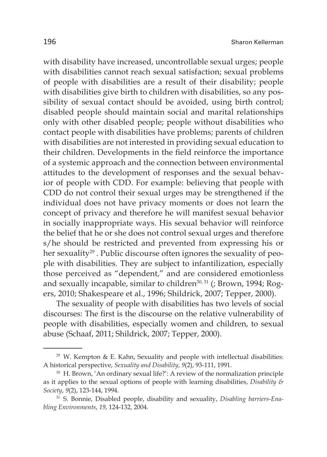with disability have increased, uncontrollable sexual urges; people with disabilities cannot reach sexual satisfaction; sexual problems of people with disabilities are a result of their disability; people with disabilities give birth to children with disabilities, so any possibility of sexual contact should be avoided, using birth control; disabled people should maintain social and marital relationships only with other disabled people; people without disabilities who contact people with disabilities have problems; parents of children with disabilities are not interested in providing sexual education to their children. Developments in the field reinforce the importance of a systemic approach and the connection between environmental attitudes to the development of responses and the sexual behavior of people with CDD. For example: believing that people with CDD do not control their sexual urges may be strengthened if the individual does not have privacy moments or does not learn the concept of privacy and therefore he will manifest sexual behavior in socially inappropriate ways. His sexual behavior will reinforce the belief that he or she does not control sexual urges and therefore s/he should be restricted and prevented from expressing his or her sexuality<sup>29</sup>. Public discourse often ignores the sexuality of people with disabilities. They are subject to infantilization, especially those perceived as "dependent," and are considered emotionless and sexually incapable, similar to children<sup>30, 31</sup> (; Brown, 1994; Rogers, 2010; Shakespeare et al., 1996; Shildrick, 2007; Tepper, 2000).

The sexuality of people with disabilities has two levels of social discourses: The first is the discourse on the relative vulnerability of people with disabilities, especially women and children, to sexual abuse (Schaaf, 2011; Shildrick, 2007; Tepper, 2000).

 $29$  W. Kempton & E. Kahn, Sexuality and people with intellectual disabilities: A historical perspective, *Sexuality and Disability*, *9*(2), 93-111, 1991.

<sup>30</sup> H. Brown, 'An ordinary sexual life?': A review of the normalization principle as it applies to the sexual options of people with learning disabilities, *Disability & Society, 9*(2), 123-144, 1994.<br><sup>31</sup> S. Bonnie, Disabled people, disability and sexuality, *Disabling barriers-Ena-*

*bling Environments*, *19*, 124-132, 2004.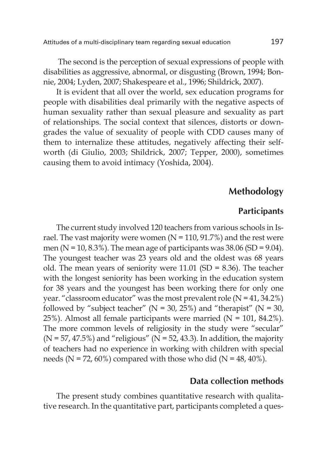The second is the perception of sexual expressions of people with disabilities as aggressive, abnormal, or disgusting (Brown, 1994; Bonnie, 2004; Lyden, 2007; Shakespeare et al., 1996; Shildrick, 2007).

It is evident that all over the world, sex education programs for people with disabilities deal primarily with the negative aspects of human sexuality rather than sexual pleasure and sexuality as part of relationships. The social context that silences, distorts or downgrades the value of sexuality of people with CDD causes many of them to internalize these attitudes, negatively affecting their selfworth (di Giulio, 2003; Shildrick, 2007; Tepper, 2000), sometimes causing them to avoid intimacy (Yoshida, 2004).

# **Methodology**

#### **Participants**

The current study involved 120 teachers from various schools in Israel. The vast majority were women  $(N = 110, 91.7%)$  and the rest were men ( $N = 10, 8.3\%$ ). The mean age of participants was 38.06 (SD = 9.04). The youngest teacher was 23 years old and the oldest was 68 years old. The mean years of seniority were 11.01 (SD = 8.36). The teacher with the longest seniority has been working in the education system for 38 years and the youngest has been working there for only one year. "classroom educator" was the most prevalent role  $(N = 41, 34.2\%)$ followed by "subject teacher" ( $N = 30$ , 25%) and "therapist" ( $N = 30$ , 25%). Almost all female participants were married (N = 101, 84.2%). The more common levels of religiosity in the study were "secular"  $(N = 57, 47.5%)$  and "religious"  $(N = 52, 43.3)$ . In addition, the majority of teachers had no experience in working with children with special needs (N = 72, 60%) compared with those who did (N = 48, 40%).

#### **Data collection methods**

The present study combines quantitative research with qualitative research. In the quantitative part, participants completed a ques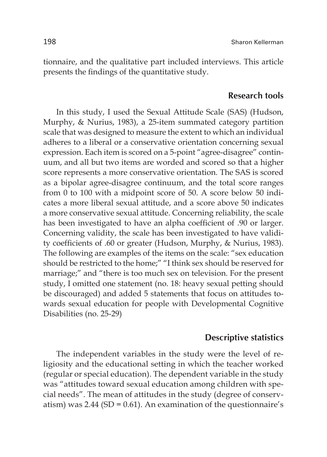tionnaire, and the qualitative part included interviews. This article presents the findings of the quantitative study.

## **Research tools**

In this study, I used the Sexual Attitude Scale (SAS) (Hudson, Murphy, & Nurius, 1983), a 25-item summated category partition scale that was designed to measure the extent to which an individual adheres to a liberal or a conservative orientation concerning sexual expression. Each item is scored on a 5-point "agree-disagree" continuum, and all but two items are worded and scored so that a higher score represents a more conservative orientation. The SAS is scored as a bipolar agree-disagree continuum, and the total score ranges from 0 to 100 with a midpoint score of 50. A score below 50 indicates a more liberal sexual attitude, and a score above 50 indicates a more conservative sexual attitude. Concerning reliability, the scale has been investigated to have an alpha coefficient of .90 or larger. Concerning validity, the scale has been investigated to have validity coefficients of .60 or greater (Hudson, Murphy, & Nurius, 1983). The following are examples of the items on the scale: "sex education should be restricted to the home;" "I think sex should be reserved for marriage;" and "there is too much sex on television. For the present study, I omitted one statement (no. 18: heavy sexual petting should be discouraged) and added 5 statements that focus on attitudes towards sexual education for people with Developmental Cognitive Disabilities (no. 25-29)

#### **Descriptive statistics**

The independent variables in the study were the level of religiosity and the educational setting in which the teacher worked (regular or special education). The dependent variable in the study was "attitudes toward sexual education among children with special needs". The mean of attitudes in the study (degree of conservatism) was  $2.44$  (SD = 0.61). An examination of the questionnaire's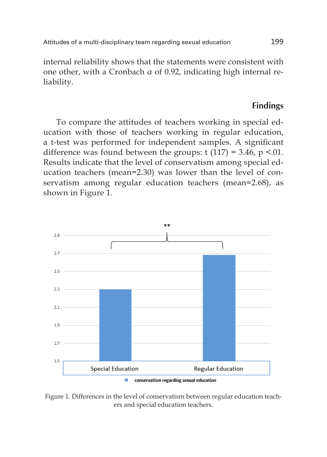Attitudes of a multi-disciplinary team regarding sexual education 199

internal reliability shows that the statements were consistent with one other, with a Cronbach α of 0.92, indicating high internal reliability.

## **Findings**

To compare the attitudes of teachers working in special education with those of teachers working in regular education, a t-test was performed for independent samples. A significant difference was found between the groups:  $t(117) = 3.46$ ,  $p < 01$ . Results indicate that the level of conservatism among special education teachers (mean=2.30) was lower than the level of conservatism among regular education teachers (mean=2.68), as shown in Figure 1.



Figure 1. Differences in the level of conservatism between regular education teachers and special education teachers.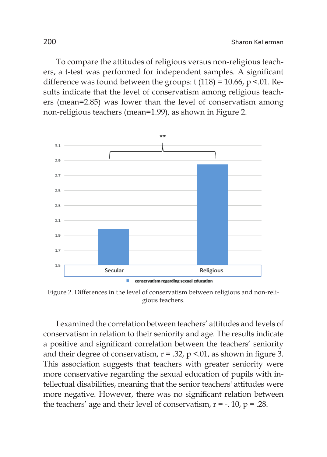To compare the attitudes of religious versus non-religious teachers, a t-test was performed for independent samples. A significant difference was found between the groups:  $t(118) = 10.66$ ,  $p \le 01$ . Results indicate that the level of conservatism among religious teachers (mean=2.85) was lower than the level of conservatism among non-religious teachers (mean=1.99), as shown in Figure 2.



Figure 2. Differences in the level of conservatism between religious and non-religious teachers.

I examined the correlation between teachers' attitudes and levels of conservatism in relation to their seniority and age. The results indicate a positive and significant correlation between the teachers' seniority and their degree of conservatism,  $r = .32$ ,  $p < .01$ , as shown in figure 3. This association suggests that teachers with greater seniority were more conservative regarding the sexual education of pupils with intellectual disabilities, meaning that the senior teachers' attitudes were more negative. However, there was no significant relation between the teachers' age and their level of conservatism,  $r = -1.10$ ,  $p = 0.28$ .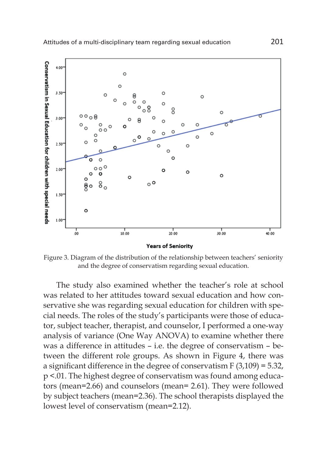

Figure 3. Diagram of the distribution of the relationship between teachers' seniority and the degree of conservatism regarding sexual education.

The study also examined whether the teacher's role at school was related to her attitudes toward sexual education and how conservative she was regarding sexual education for children with special needs. The roles of the study's participants were those of educator, subject teacher, therapist, and counselor, I performed a one-way analysis of variance (One Way ANOVA) to examine whether there was a difference in attitudes – i.e. the degree of conservatism – between the different role groups. As shown in Figure 4, there was a significant difference in the degree of conservatism F (3,109) = 5.32, p <.01. The highest degree of conservatism was found among educators (mean=2.66) and counselors (mean= 2.61). They were followed by subject teachers (mean=2.36). The school therapists displayed the lowest level of conservatism (mean=2.12).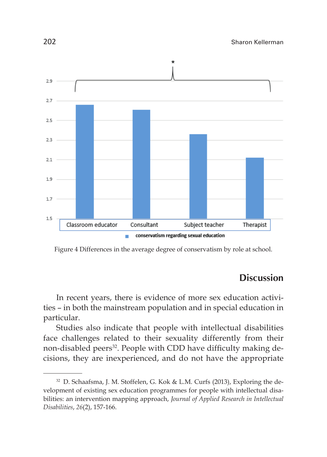

Figure 4 Differences in the average degree of conservatism by role at school.

# **Discussion**

In recent years, there is evidence of more sex education activities – in both the mainstream population and in special education in particular.

Studies also indicate that people with intellectual disabilities face challenges related to their sexuality differently from their non-disabled peers<sup>32</sup>. People with CDD have difficulty making decisions, they are inexperienced, and do not have the appropriate

<sup>32</sup> D. Schaafsma, J. M. Stoffelen, G. Kok & L.M. Curfs (2013), Exploring the development of existing sex education programmes for people with intellectual disabilities: an intervention mapping approach, *Journal of Applied Research in Intellectual Disabilities*, *26*(2), 157-166.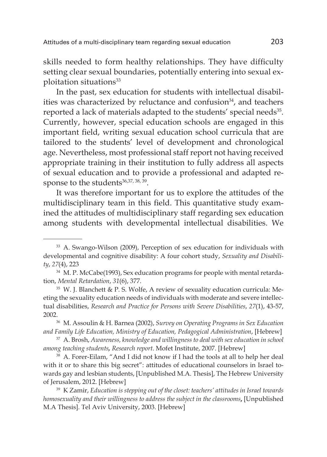skills needed to form healthy relationships. They have difficulty setting clear sexual boundaries, potentially entering into sexual exploitation situations<sup>33</sup>

In the past, sex education for students with intellectual disabilities was characterized by reluctance and confusion<sup>34</sup>, and teachers reported a lack of materials adapted to the students' special needs<sup>35</sup>. Currently, however, special education schools are engaged in this important field, writing sexual education school curricula that are tailored to the students' level of development and chronological age. Nevertheless, most professional staff report not having received appropriate training in their institution to fully address all aspects of sexual education and to provide a professional and adapted response to the students<sup>36,37, 38, 39</sup>.

It was therefore important for us to explore the attitudes of the multidisciplinary team in this field. This quantitative study examined the attitudes of multidisciplinary staff regarding sex education among students with developmental intellectual disabilities. We

<sup>33</sup> A. Swango-Wilson (2009), Perception of sex education for individuals with developmental and cognitive disability: A four cohort study, *Sexuality and Disability*, *27*(4), 223

<sup>&</sup>lt;sup>34</sup> M. P. McCabe(1993), Sex education programs for people with mental retardation, *Mental Retardation*, *31*(6), 377.

 $35$  W. J. Blanchett & P. S. Wolfe, A review of sexuality education curricula: Meeting the sexuality education needs of individuals with moderate and severe intellectual disabilities, *Research and Practice for Persons with Severe Disabilities*, *27*(1), 43-57,

<sup>2002.36</sup> M. Assoulin & H. Barnea (2002), *Survey on Operating Programs in Sex Education and Family Life Education, Ministry of Education, Pedagogical Administration*, [Hebrew]

<sup>37</sup> A. Brosh, *Awareness, knowledge and willingness to deal with sex education in school among teaching students, Research report*. Mofet Institute, 2007. [Hebrew]

<sup>&</sup>lt;sup>38</sup> A. Forer-Eilam, "And I did not know if I had the tools at all to help her deal with it or to share this big secret": attitudes of educational counselors in Israel towards gay and lesbian students, [Unpublished M.A. Thesis], The Hebrew University of Jerusalem, 2012. [Hebrew]

<sup>39</sup> K Zamir, *Education is stepping out of the closet: teachers' attitudes in Israel towards homosexuality and their willingness to address the subject in the classrooms***,** [Unpublished M.A Thesis]. Tel Aviv University, 2003. [Hebrew]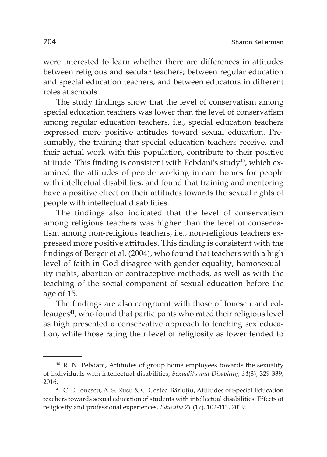were interested to learn whether there are differences in attitudes between religious and secular teachers; between regular education and special education teachers, and between educators in different roles at schools.

The study findings show that the level of conservatism among special education teachers was lower than the level of conservatism among regular education teachers, i.e., special education teachers expressed more positive attitudes toward sexual education. Presumably, the training that special education teachers receive, and their actual work with this population, contribute to their positive attitude. This finding is consistent with Pebdani's study<sup>40</sup>, which examined the attitudes of people working in care homes for people with intellectual disabilities, and found that training and mentoring have a positive effect on their attitudes towards the sexual rights of people with intellectual disabilities.

The findings also indicated that the level of conservatism among religious teachers was higher than the level of conservatism among non-religious teachers, i.e., non-religious teachers expressed more positive attitudes. This finding is consistent with the findings of Berger et al. (2004), who found that teachers with a high level of faith in God disagree with gender equality, homosexuality rights, abortion or contraceptive methods, as well as with the teaching of the social component of sexual education before the age of 15.

The findings are also congruent with those of Ionescu and colleauges<sup>41</sup>, who found that participants who rated their religious level as high presented a conservative approach to teaching sex education, while those rating their level of religiosity as lower tended to

<sup>40</sup> R. N. Pebdani, Attitudes of group home employees towards the sexuality of individuals with intellectual disabilities, *Sexuality and Disability*, *34*(3), 329-339,

<sup>2016.&</sup>lt;br><sup>41</sup> C. E. Ionescu, A. S. Rusu & C. Costea-Bărluțiu, Attitudes of Special Education teachers towards sexual education of students with intellectual disabilities: Effects of religiosity and professional experiences, *Educatia 21* (17), 102-111, 2019.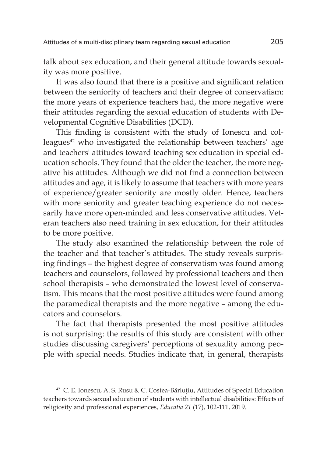talk about sex education, and their general attitude towards sexuality was more positive.

It was also found that there is a positive and significant relation between the seniority of teachers and their degree of conservatism: the more years of experience teachers had, the more negative were their attitudes regarding the sexual education of students with Developmental Cognitive Disabilities (DCD).

This finding is consistent with the study of Ionescu and colleagues<sup>42</sup> who investigated the relationship between teachers' age and teachers' attitudes toward teaching sex education in special education schools. They found that the older the teacher, the more negative his attitudes. Although we did not find a connection between attitudes and age, it is likely to assume that teachers with more years of experience/greater seniority are mostly older. Hence, teachers with more seniority and greater teaching experience do not necessarily have more open-minded and less conservative attitudes. Veteran teachers also need training in sex education, for their attitudes to be more positive.

The study also examined the relationship between the role of the teacher and that teacher's attitudes. The study reveals surprising findings – the highest degree of conservatism was found among teachers and counselors, followed by professional teachers and then school therapists – who demonstrated the lowest level of conservatism. This means that the most positive attitudes were found among the paramedical therapists and the more negative – among the educators and counselors.

The fact that therapists presented the most positive attitudes is not surprising: the results of this study are consistent with other studies discussing caregivers' perceptions of sexuality among people with special needs. Studies indicate that, in general, therapists

 $42$  C. E. Ionescu, A. S. Rusu & C. Costea-Bărluțiu, Attitudes of Special Education teachers towards sexual education of students with intellectual disabilities: Effects of religiosity and professional experiences, *Educatia 21* (17), 102-111, 2019.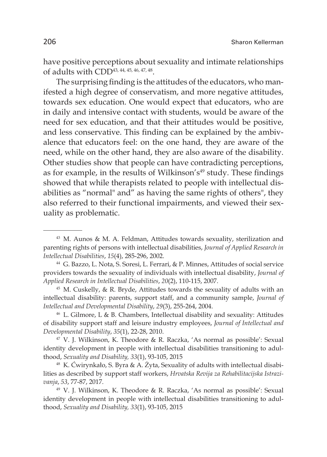have positive perceptions about sexuality and intimate relationships of adults with CDD43, 44, 45, 46, 47, 48.

The surprising finding is the attitudes of the educators, who manifested a high degree of conservatism, and more negative attitudes, towards sex education. One would expect that educators, who are in daily and intensive contact with students, would be aware of the need for sex education, and that their attitudes would be positive, and less conservative. This finding can be explained by the ambivalence that educators feel: on the one hand, they are aware of the need, while on the other hand, they are also aware of the disability. Other studies show that people can have contradicting perceptions, as for example, in the results of Wilkinson's<sup>49</sup> study. These findings showed that while therapists related to people with intellectual disabilities as "normal" and" as having the same rights of others", they also referred to their functional impairments, and viewed their sexuality as problematic.

<sup>43</sup> M. Aunos & M. A. Feldman, Attitudes towards sexuality, sterilization and parenting rights of persons with intellectual disabilities, *Journal of Applied Research in Intellectual Disabilities*, *15*(4), 285-296, 2002.

<sup>44</sup> G. Bazzo, L. Nota, S. Soresi, L. Ferrari, & P. Minnes, Attitudes of social service providers towards the sexuality of individuals with intellectual disability, *Journal of Applied Research in Intellectual Disabilities*, *20*(2), 110-115, 2007.

 $45$  M. Cuskelly, & R. Bryde, Attitudes towards the sexuality of adults with an intellectual disability: parents, support staff, and a community sample, *Journal of Intellectual and Developmental Disability*, *29*(3), 255-264, 2004.

<sup>46</sup> L. Gilmore, L & B. Chambers, Intellectual disability and sexuality: Attitudes of disability support staff and leisure industry employees, *Journal of Intellectual and Developmental Disability*, *35*(1), 22-28, 2010.

 $47$  V. J. Wilkinson, K. Theodore & R. Raczka, 'As normal as possible': Sexual identity development in people with intellectual disabilities transitioning to adulthood, *Sexuality and Disability, 33*(1), 93-105, 2015

<sup>48</sup> K. Ćwirynkało, S. Byra & A. Żyta, Sexuality of adults with intellectual disabilities as described by support staff workers, *Hrvatska Revija za Rehabilitacijska Istrazivanja*, *<sup>53</sup>*, 77-87, 2017. 49 V. J. Wilkinson, K. Theodore & R. Raczka, 'As normal as possible': Sexual

identity development in people with intellectual disabilities transitioning to adulthood, *Sexuality and Disability, 33*(1), 93-105, 2015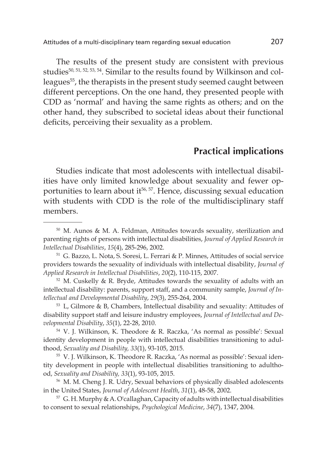Attitudes of a multi-disciplinary team regarding sexual education 207

The results of the present study are consistent with previous studies<sup>50, 51, 52, 53, 54</sup>. Similar to the results found by Wilkinson and colleagues<sup>55</sup>, the therapists in the present study seemed caught between different perceptions. On the one hand, they presented people with CDD as 'normal' and having the same rights as others; and on the other hand, they subscribed to societal ideas about their functional deficits, perceiving their sexuality as a problem.

# **Practical implications**

Studies indicate that most adolescents with intellectual disabilities have only limited knowledge about sexuality and fewer opportunities to learn about it<sup>56, 57</sup>. Hence, discussing sexual education with students with CDD is the role of the multidisciplinary staff members.

<sup>50</sup> M. Aunos & M. A. Feldman, Attitudes towards sexuality, sterilization and parenting rights of persons with intellectual disabilities, *Journal of Applied Research in Intellectual Disabilities*, *15*(4), 285-296, 2002.

<sup>51</sup> G. Bazzo, L. Nota, S. Soresi, L. Ferrari & P. Minnes, Attitudes of social service providers towards the sexuality of individuals with intellectual disability, *Journal of Applied Research in Intellectual Disabilities*, *20*(2), 110-115, 2007.

<sup>52</sup> M. Cuskelly & R. Bryde, Attitudes towards the sexuality of adults with an intellectual disability: parents, support staff, and a community sample, *Journal of Intellectual and Developmental Disability*, *29*(3), 255-264, 2004.

<sup>53</sup> L, Gilmore & B, Chambers, Intellectual disability and sexuality: Attitudes of disability support staff and leisure industry employees, *Journal of Intellectual and Developmental Disability*, *35*(1), 22-28, 2010.

<sup>54</sup> V. J. Wilkinson, K. Theodore & R. Raczka, 'As normal as possible': Sexual identity development in people with intellectual disabilities transitioning to adulthood, *Sexuality and Disability, 33*(1), 93-105, 2015.

<sup>55</sup> V. J. Wilkinson, K. Theodore R. Raczka, 'As normal as possible': Sexual identity development in people with intellectual disabilities transitioning to adulthood, *Sexuality and Disability, 33*(1), 93-105, 2015.

<sup>56</sup> M. M. Cheng J. R. Udry, Sexual behaviors of physically disabled adolescents in the United States, *Journal of Adolescent Health*, *31*(1), 48-58, 2002.

 $57$  G. H. Murphy & A. O'callaghan, Capacity of adults with intellectual disabilities to consent to sexual relationships, *Psychological Medicine*, *34*(7), 1347, 2004.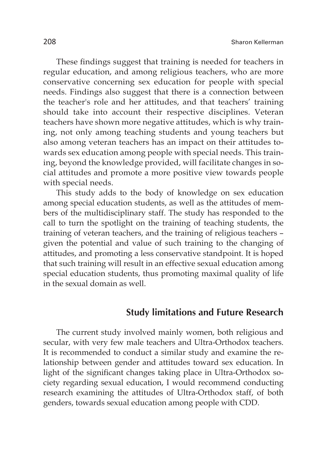These findings suggest that training is needed for teachers in regular education, and among religious teachers, who are more conservative concerning sex education for people with special needs. Findings also suggest that there is a connection between the teacher's role and her attitudes, and that teachers' training should take into account their respective disciplines. Veteran teachers have shown more negative attitudes, which is why training, not only among teaching students and young teachers but also among veteran teachers has an impact on their attitudes towards sex education among people with special needs. This training, beyond the knowledge provided, will facilitate changes in social attitudes and promote a more positive view towards people with special needs.

This study adds to the body of knowledge on sex education among special education students, as well as the attitudes of members of the multidisciplinary staff. The study has responded to the call to turn the spotlight on the training of teaching students, the training of veteran teachers, and the training of religious teachers – given the potential and value of such training to the changing of attitudes, and promoting a less conservative standpoint. It is hoped that such training will result in an effective sexual education among special education students, thus promoting maximal quality of life in the sexual domain as well.

## **Study limitations and Future Research**

The current study involved mainly women, both religious and secular, with very few male teachers and Ultra-Orthodox teachers. It is recommended to conduct a similar study and examine the relationship between gender and attitudes toward sex education. In light of the significant changes taking place in Ultra-Orthodox society regarding sexual education, I would recommend conducting research examining the attitudes of Ultra-Orthodox staff, of both genders, towards sexual education among people with CDD.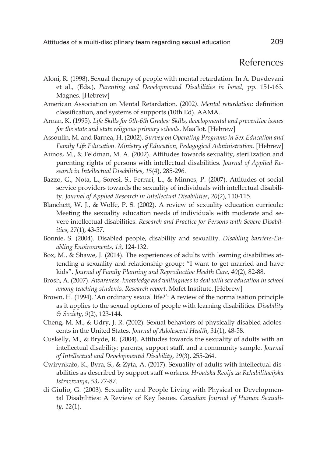# References

- Aloni, R. (1998). Sexual therapy of people with mental retardation. In A. Duvdevani et al., (Eds.), *Parenting and Developmental Disabilities in Israel*, pp. 151-163. Magnes. [Hebrew]
- American Association on Mental Retardation. (2002*). Mental retardation*: definition classification, and systems of supports (10th Ed). AAMA.
- Arnan, K. (1995). *Life Skills for 5th-6th Grades: Skills, developmental and preventive issues for the state and state religious primary schools*. Maa'lot. [Hebrew]
- Assoulin, M. and Barnea, H. (2002). *Survey on Operating Programs in Sex Education and Family Life Education. Ministry of Education, Pedagogical Administration*. [Hebrew]
- Aunos, M., & Feldman, M. A. (2002). Attitudes towards sexuality, sterilization and parenting rights of persons with intellectual disabilities. *Journal of Applied Research in Intellectual Disabilities*, *15*(4), 285-296.
- Bazzo, G., Nota, L., Soresi, S., Ferrari, L., & Minnes, P. (2007). Attitudes of social service providers towards the sexuality of individuals with intellectual disability. *Journal of Applied Research in Intellectual Disabilities*, *20*(2), 110-115.
- Blanchett, W. J., & Wolfe, P. S. (2002). A review of sexuality education curricula: Meeting the sexuality education needs of individuals with moderate and severe intellectual disabilities. *Research and Practice for Persons with Severe Disabilities*, *27*(1), 43-57.
- Bonnie, S. (2004). Disabled people, disability and sexuality. *Disabling barriers-Enabling Environments*, *19*, 124-132.
- Box, M., & Shawe, J. (2014). The experiences of adults with learning disabilities attending a sexuality and relationship group: "I want to get married and have kids". *Journal of Family Planning and Reproductive Health Care*, *40*(2), 82-88.
- Brosh, A. (2007). *Awareness, knowledge and willingness to deal with sex education in school among teaching students. Research report*. Mofet Institute. [Hebrew]
- Brown, H. (1994). 'An ordinary sexual life?': A review of the normalisation principle as it applies to the sexual options of people with learning disabilities. *Disability & Society*, *9*(2), 123-144.
- Cheng, M. M., & Udry, J. R. (2002). Sexual behaviors of physically disabled adolescents in the United States. *Journal of Adolescent Health*, *31*(1), 48-58.
- Cuskelly, M., & Bryde, R. (2004). Attitudes towards the sexuality of adults with an intellectual disability: parents, support staff, and a community sample. *Journal of Intellectual and Developmental Disability*, *29*(3), 255-264.
- Ćwirynkało, K., Byra, S., & Żyta, A. (2017). Sexuality of adults with intellectual disabilities as described by support staff workers. *Hrvatska Revija za Rehabilitacijska Istrazivanja*, *53*, 77-87.
- di Giulio, G. (2003). Sexuality and People Living with Physical or Developmental Disabilities: A Review of Key Issues. *Canadian Journal of Human Sexuality*, *12*(1).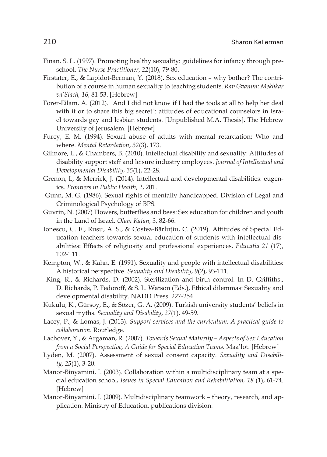- Finan, S. L. (1997). Promoting healthy sexuality: guidelines for infancy through preschool. *The Nurse Practitioner*, *22*(10), 79-80.
- Firstater, E., & Lapidot-Berman, Y. (2018). Sex education why bother? The contribution of a course in human sexuality to teaching students. *Rav Gvanim: Mekhkar va'Siach, 16*, 81-53. [Hebrew]
- Forer-Eilam, A. (2012). "And I did not know if I had the tools at all to help her deal with it or to share this big secret": attitudes of educational counselors in Israel towards gay and lesbian students. [Unpublished M.A. Thesis]. The Hebrew University of Jerusalem. [Hebrew]
- Furey, E. M. (1994). Sexual abuse of adults with mental retardation: Who and where. *Mental Retardation*, *32*(3), 173.
- Gilmore, L., & Chambers, B. (2010). Intellectual disability and sexuality: Attitudes of disability support staff and leisure industry employees. *Journal of Intellectual and Developmental Disability*, *35*(1), 22-28.
- Grenon, I., & Merrick, J. (2014). Intellectual and developmental disabilities: eugenics. *Frontiers in Public Health*, *2*, 201.
- Gunn, M. G. (1986). Sexual rights of mentally handicapped. Division of Legal and Criminological Psychology of BPS.
- Guvrin, N. (2007) Flowers, butterflies and bees: Sex education for children and youth in the Land of Israel. *Olam Katan, 3*, 82-66.
- Ionescu, C. E., Rusu, A. S., & Costea-Bărlutiu, C. (2019). Attitudes of Special Education teachers towards sexual education of students with intellectual disabilities: Effects of religiosity and professional experiences. *Educatia 21* (17), 102-111.
- Kempton, W., & Kahn, E. (1991). Sexuality and people with intellectual disabilities: A historical perspective. *Sexuality and Disability*, *9*(2), 93-111.
- King, R., & Richards, D. (2002). Sterilization and birth control. In D. Griffiths., D. Richards, P. Fedoroff, & S. L. Watson (Eds.), Ethical dilemmas: Sexuality and developmental disability. NADD Press. 227-254.
- Kukulu, K., Gürsoy, E., & Sözer, G. A. (2009). Turkish university students' beliefs in sexual myths. *Sexuality and Disability*, *27*(1), 49-59.
- Lacey, P., & Lomas, J. (2013). *Support services and the curriculum: A practical guide to collaboration*. Routledge.
- Lachover, Y., & Argaman, R. (2007). *Towards Sexual Maturity Aspects of Sex Education from a Social Perspective, A Guide for Special Education Teams*. Maa'lot. [Hebrew]
- Lyden, M. (2007). Assessment of sexual consent capacity. *Sexuality and Disability*, *25*(1), 3-20.
- Manor-Binyamini, I. (2003). Collaboration within a multidisciplinary team at a special education school**.** *Issues in Special Education and Rehabilitation, 18* (1), 61-74. [Hebrew]
- Manor-Binyamini, I. (2009). Multidisciplinary teamwork theory, research, and application. Ministry of Education, publications division.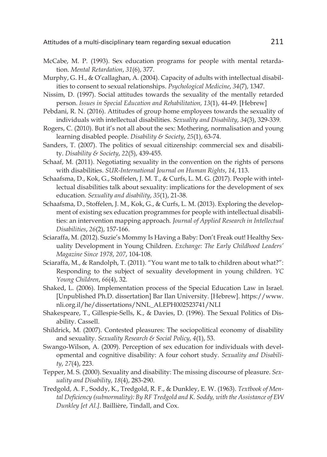- McCabe, M. P. (1993). Sex education programs for people with mental retardation. *Mental Retardation*, *31*(6), 377.
- Murphy, G. H., & O'callaghan, A. (2004). Capacity of adults with intellectual disabilities to consent to sexual relationships. *Psychological Medicine*, *34*(7), 1347.
- Nissim, D. (1997). Social attitudes towards the sexuality of the mentally retarded person. *Issues in Special Education and Rehabilitation, 13*(1), 44-49. [Hebrew]
- Pebdani, R. N. (2016). Attitudes of group home employees towards the sexuality of individuals with intellectual disabilities. *Sexuality and Disability*, *34*(3), 329-339.
- Rogers, C. (2010). But it's not all about the sex: Mothering, normalisation and young learning disabled people. *Disability & Society*, *25*(1), 63-74.
- Sanders, T. (2007). The politics of sexual citizenship: commercial sex and disability. *Disability & Society*, *22*(5), 439-455.
- Schaaf, M. (2011). Negotiating sexuality in the convention on the rights of persons with disabilities. *SUR-International Journal on Human Rights*, *14*, 113.
- Schaafsma, D., Kok, G., Stoffelen, J. M. T., & Curfs, L. M. G. (2017). People with intellectual disabilities talk about sexuality: implications for the development of sex education. *Sexuality and disability*, *35*(1), 21-38.
- Schaafsma, D., Stoffelen, J. M., Kok, G., & Curfs, L. M. (2013). Exploring the development of existing sex education programmes for people with intellectual disabilities: an intervention mapping approach. *Journal of Applied Research in Intellectual Disabilities*, *26*(2), 157-166.
- Sciaraffa, M. (2012). Suzie's Mommy Is Having a Baby: Don't Freak out! Healthy Sexuality Development in Young Children. *Exchange: The Early Childhood Leaders' Magazine Since 1978*, *207*, 104-108.
- Sciaraffa, M., & Randolph, T. (2011). "You want me to talk to children about what?": Responding to the subject of sexuality development in young children. *YC Young Children*, *66*(4), 32.
- Shaked, L. (2006). Implementation process of the Special Education Law in Israel. [Unpublished Ph.D. dissertation] Bar Ilan University. [Hebrew]. https://www. nli.org.il/he/dissertations/NNL\_ALEPH002523741/NLI
- Shakespeare, T., Gillespie-Sells, K., & Davies, D. (1996). The Sexual Politics of Disability. Cassell.
- Shildrick, M. (2007). Contested pleasures: The sociopolitical economy of disability and sexuality. *Sexuality Research & Social Policy*, *4*(1), 53.
- Swango-Wilson, A. (2009). Perception of sex education for individuals with developmental and cognitive disability: A four cohort study. *Sexuality and Disability*, *27*(4), 223.
- Tepper, M. S. (2000). Sexuality and disability: The missing discourse of pleasure. *Sexuality and Disability*, *18*(4), 283-290.
- Tredgold, A. F., Soddy, K., Tredgold, R. F., & Dunkley, E. W. (1963). *Textbook of Mental Deficiency (subnormality): By RF Tredgold and K. Soddy, with the Assistance of EW Dunkley [et Al.]*. Baillière, Tindall, and Cox.